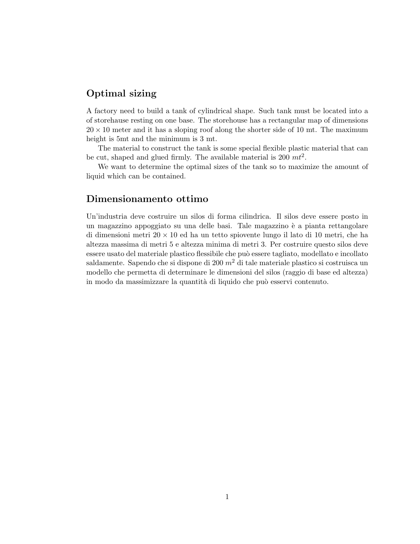## Optimal sizing

A factory need to build a tank of cylindrical shape. Such tank must be located into a of storehause resting on one base. The storehouse has a rectangular map of dimensions  $20 \times 10$  meter and it has a sloping roof along the shorter side of 10 mt. The maximum height is 5mt and the minimum is 3 mt.

The material to construct the tank is some special flexible plastic material that can be cut, shaped and glued firmly. The available material is 200  $mt^2$ .

We want to determine the optimal sizes of the tank so to maximize the amount of liquid which can be contained.

## Dimensionamento ottimo

Un'industria deve costruire un silos di forma cilindrica. Il silos deve essere posto in un magazzino appoggiato su una delle basi. Tale magazzino è a pianta rettangolare di dimensioni metri  $20 \times 10$  ed ha un tetto spiovente lungo il lato di 10 metri, che ha altezza massima di metri 5 e altezza minima di metri 3. Per costruire questo silos deve essere usato del materiale plastico flessibile che pu`o essere tagliato, modellato e incollato saldamente. Sapendo che si dispone di 200  $m<sup>2</sup>$  di tale materiale plastico si costruisca un modello che permetta di determinare le dimensioni del silos (raggio di base ed altezza) in modo da massimizzare la quantit`a di liquido che pu`o esservi contenuto.